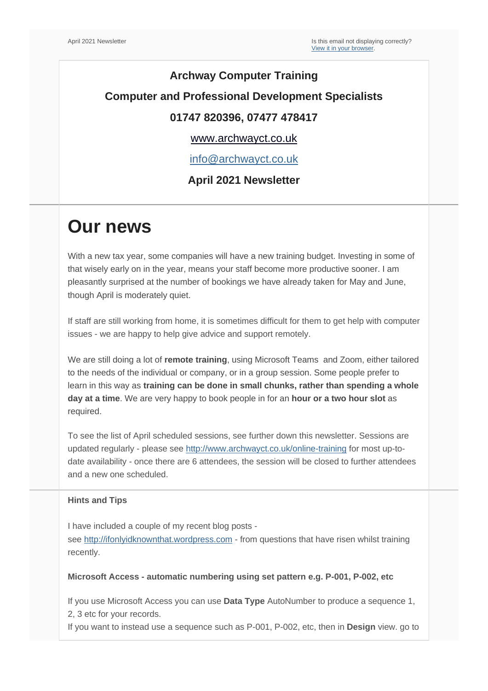### **Archway Computer Training Computer and Professional Development Specialists 01747 820396, 07477 478417**

#### [www.archwayct.co.uk](http://www.archwayct.co.uk/)

[info@archwayct.co.uk](mailto:%20info@archwayct.co.uk)

#### **April 2021 Newsletter**

## **Our news**

With a new tax year, some companies will have a new training budget. Investing in some of that wisely early on in the year, means your staff become more productive sooner. I am pleasantly surprised at the number of bookings we have already taken for May and June, though April is moderately quiet.

If staff are still working from home, it is sometimes difficult for them to get help with computer issues - we are happy to help give advice and support remotely.

We are still doing a lot of **remote training**, using Microsoft Teams and Zoom, either tailored to the needs of the individual or company, or in a group session. Some people prefer to learn in this way as **training can be done in small chunks, rather than spending a whole day at a time**. We are very happy to book people in for an **hour or a two hour slot** as required.

To see the list of April scheduled sessions, see further down this newsletter. Sessions are updated regularly - please see <http://www.archwayct.co.uk/online-training> for most up-todate availability - once there are 6 attendees, the session will be closed to further attendees and a new one scheduled.

#### **Hints and Tips**

I have included a couple of my recent blog posts -

see [http://ifonlyidknownthat.wordpress.com](http://ifonlyidknownthat.wordpress.com/) - from questions that have risen whilst training recently.

#### **Microsoft Access - automatic numbering using set pattern e.g. P-001, P-002, etc**

If you use Microsoft Access you can use **Data Type** AutoNumber to produce a sequence 1, 2, 3 etc for your records.

If you want to instead use a sequence such as P-001, P-002, etc, then in **Design** view. go to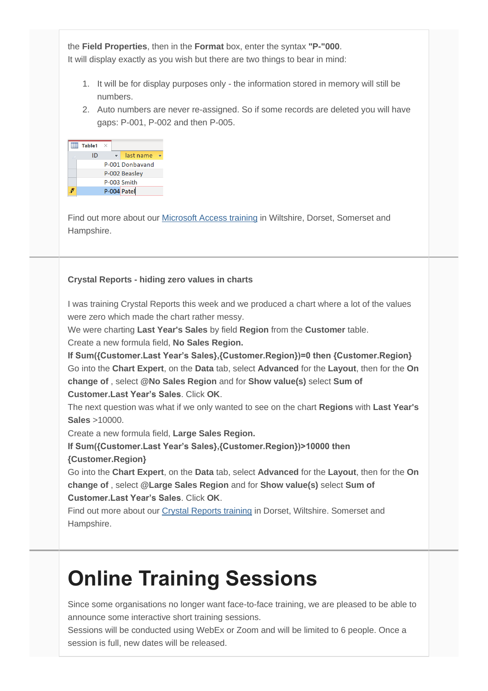the **Field Properties**, then in the **Format** box, enter the syntax **"P-"000**. It will display exactly as you wish but there are two things to bear in mind:

- 1. It will be for display purposes only the information stored in memory will still be numbers.
- 2. Auto numbers are never re-assigned. So if some records are deleted you will have gaps: P-001, P-002 and then P-005.

| Table1 | $\times$ |                 |  |
|--------|----------|-----------------|--|
| ID     |          | last name       |  |
|        |          | P-001 Donbayand |  |
|        |          | P-002 Beasley   |  |
|        |          | P-003 Smith     |  |
|        |          | P-004 Patel     |  |

Find out more about our [Microsoft Access training](http://www.archwayct.co.uk/microsoft-office-training/microsoft-access-training) in Wiltshire, Dorset, Somerset and Hampshire.

#### **Crystal Reports - hiding zero values in charts**

I was training Crystal Reports this week and we produced a chart where a lot of the values were zero which made the chart rather messy.

We were charting **Last Year's Sales** by field **Region** from the **Customer** table.

Create a new formula field, **No Sales Region.**

**If Sum({Customer.Last Year's Sales},{Customer.Region})=0 then {Customer.Region}** Go into the **Chart Expert**, on the **Data** tab, select **Advanced** for the **Layout**, then for the **On change of** , select **@No Sales Region** and for **Show value(s)** select **Sum of Customer.Last Year's Sales**. Click **OK**.

The next question was what if we only wanted to see on the chart **Regions** with **Last Year's Sales** >10000.

Create a new formula field, **Large Sales Region.**

**If Sum({Customer.Last Year's Sales},{Customer.Region})>10000 then {Customer.Region}**

Go into the **Chart Expert**, on the **Data** tab, select **Advanced** for the **Layout**, then for the **On change of** , select **@Large Sales Region** and for **Show value(s)** select **Sum of Customer.Last Year's Sales**. Click **OK**.

Find out more about our [Crystal Reports training](http://www.archwayct.co.uk/it-training/crystal-reports-training) in Dorset, Wiltshire. Somerset and Hampshire.

# **Online Training Sessions**

Since some organisations no longer want face-to-face training, we are pleased to be able to announce some interactive short training sessions.

Sessions will be conducted using WebEx or Zoom and will be limited to 6 people. Once a session is full, new dates will be released.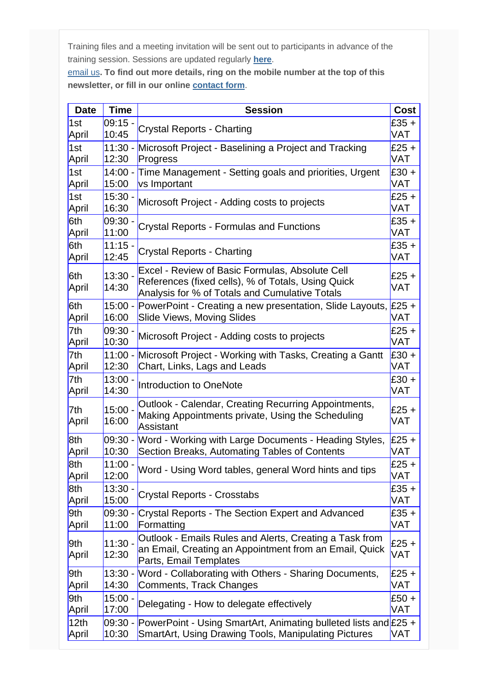Training files and a meeting invitation will be sent out to participants in advance of the training session. Sessions are updated regularly **[here](http://www.archwayct.co.uk/online-training)**.

[email us](mailto:jdonbavand@btinternet.com?subject=Online%20training)**. To find out more details, ring on the mobile number at the top of this newsletter, or fill in our online [contact form](http://www.archwayct.co.uk/contact)**.

| <b>Date</b>  | <b>Time</b>        | <b>Session</b>                                                                                                                                          | <b>Cost</b>           |
|--------------|--------------------|---------------------------------------------------------------------------------------------------------------------------------------------------------|-----------------------|
| 1st          | $09:15 -$          | <b>Crystal Reports - Charting</b>                                                                                                                       | $£35 +$               |
| April        | 10:45              |                                                                                                                                                         | <b>VAT</b>            |
| 1st          |                    | 11:30 - Microsoft Project - Baselining a Project and Tracking                                                                                           | $£25 +$               |
| April        | 12:30              | Progress                                                                                                                                                | <b>VAT</b>            |
| 1st          | $14:00 -$          | Time Management - Setting goals and priorities, Urgent                                                                                                  | $E30 +$               |
| April        | 15:00              | vs Important                                                                                                                                            | <b>VAT</b>            |
| 1st          | $15:30 -$          | Microsoft Project - Adding costs to projects                                                                                                            | $E25 +$               |
| April        | 16:30              |                                                                                                                                                         | VAT                   |
| 6th          | $09:30 -$          | Crystal Reports - Formulas and Functions                                                                                                                | $£35 +$               |
| April        | 11:00              |                                                                                                                                                         | <b>VAT</b>            |
| 6th          | $11:15 -$          | <b>Crystal Reports - Charting</b>                                                                                                                       | $£35 +$               |
| April        | 12:45              |                                                                                                                                                         | <b>VAT</b>            |
| 6th<br>April | $13:30 -$<br>14:30 | Excel - Review of Basic Formulas, Absolute Cell<br>References (fixed cells), % of Totals, Using Quick<br>Analysis for % of Totals and Cumulative Totals | $£25 +$<br><b>VAT</b> |
| 6th<br>April | 16:00              | 15:00 - PowerPoint - Creating a new presentation, Slide Layouts, £25 +<br><b>Slide Views, Moving Slides</b>                                             | <b>VAT</b>            |
| 7th          | $09:30 -$          | Microsoft Project - Adding costs to projects                                                                                                            | $£25 +$               |
| April        | 10:30              |                                                                                                                                                         | <b>VAT</b>            |
| 7th          | $11:00 -$          | Microsoft Project - Working with Tasks, Creating a Gantt                                                                                                | $E30 +$               |
| April        | 12:30              | Chart, Links, Lags and Leads                                                                                                                            | <b>VAT</b>            |
| 7th          | $13:00 -$          | Introduction to OneNote                                                                                                                                 | $E30 +$               |
| April        | 14:30              |                                                                                                                                                         | <b>VAT</b>            |
| 7th<br>April | $15:00 -$<br>16:00 | Outlook - Calendar, Creating Recurring Appointments,<br>Making Appointments private, Using the Scheduling<br><b>Assistant</b>                           | $£25 +$<br><b>VAT</b> |
| 8th          | 10:30              | 09:30 - Word - Working with Large Documents - Heading Styles,                                                                                           | $£25 +$               |
| April        |                    | Section Breaks, Automating Tables of Contents                                                                                                           | <b>VAT</b>            |
| 8th          | $11:00 -$          | Word - Using Word tables, general Word hints and tips                                                                                                   | $£25 +$               |
| April        | 12:00              |                                                                                                                                                         | <b>VAT</b>            |
| 8th          | $13:30 -$          | <b>Crystal Reports - Crosstabs</b>                                                                                                                      | $£35 +$               |
| April        | 15:00              |                                                                                                                                                         | <b>VAT</b>            |
| 9th          | 11:00              | 09:30 - Crystal Reports - The Section Expert and Advanced                                                                                               | $£35 +$               |
| April        |                    | Formatting                                                                                                                                              | <b>VAT</b>            |
| 9th<br>April | $11:30 -$<br>12:30 | Outlook - Emails Rules and Alerts, Creating a Task from<br>an Email, Creating an Appointment from an Email, Quick<br>Parts, Email Templates             | $£25 +$<br><b>VAT</b> |
| 9th          | $13:30 -$          | Word - Collaborating with Others - Sharing Documents,                                                                                                   | $£25 +$               |
| April        | 14:30              | Comments, Track Changes                                                                                                                                 | <b>VAT</b>            |
| 9th          | $15:00 -$          | Delegating - How to delegate effectively                                                                                                                | £50 +                 |
| April        | 17:00              |                                                                                                                                                         | VAT                   |
| 12th         | 09:30 -            | PowerPoint - Using SmartArt, Animating bulleted lists and £25 +                                                                                         | <b>VAT</b>            |
| April        | 10:30              | <b>SmartArt, Using Drawing Tools, Manipulating Pictures</b>                                                                                             |                       |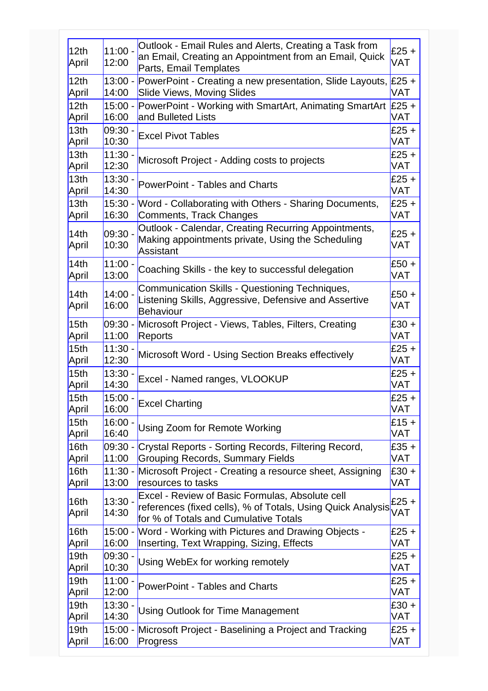| 12 <sub>th</sub><br>April | $11:00 -$<br>12:00 | Outlook - Email Rules and Alerts, Creating a Task from<br>an Email, Creating an Appointment from an Email, Quick<br>Parts, Email Templates              | £25 +<br>VAT          |
|---------------------------|--------------------|---------------------------------------------------------------------------------------------------------------------------------------------------------|-----------------------|
| 12 <sub>th</sub>          | $13:00 -$          | PowerPoint - Creating a new presentation, Slide Layouts, £25 +                                                                                          | <b>VAT</b>            |
| April                     | 14:00              | <b>Slide Views, Moving Slides</b>                                                                                                                       |                       |
| 12 <sub>th</sub>          | $15:00 -$          | PowerPoint - Working with SmartArt, Animating SmartArt                                                                                                  | $£25 +$               |
| April                     | 16:00              | and Bulleted Lists                                                                                                                                      | <b>VAT</b>            |
| 13 <sub>th</sub>          | $09:30 -$          | <b>Excel Pivot Tables</b>                                                                                                                               | $£25 +$               |
| April                     | 10:30              |                                                                                                                                                         | <b>VAT</b>            |
| 13 <sub>th</sub>          | $11:30 -$          | Microsoft Project - Adding costs to projects                                                                                                            | $£25 +$               |
| April                     | 12:30              |                                                                                                                                                         | VAT                   |
| 13 <sub>th</sub>          | $13:30 -$          | <b>PowerPoint - Tables and Charts</b>                                                                                                                   | $£25 +$               |
| April                     | 14:30              |                                                                                                                                                         | <b>VAT</b>            |
| 13 <sub>th</sub>          | $15:30 -$          | Word - Collaborating with Others - Sharing Documents,                                                                                                   | $£25 +$               |
| April                     | 16:30              | Comments, Track Changes                                                                                                                                 | <b>VAT</b>            |
| 14th<br>April             | $09:30 -$<br>10:30 | Outlook - Calendar, Creating Recurring Appointments,<br>Making appointments private, Using the Scheduling<br>Assistant                                  | $£25 +$<br><b>VAT</b> |
| 14th                      | $11:00 -$          | Coaching Skills - the key to successful delegation                                                                                                      | £50 +                 |
| April                     | 13:00              |                                                                                                                                                         | <b>VAT</b>            |
| 14th<br>April             | $14:00 -$<br>16:00 | Communication Skills - Questioning Techniques,<br>Listening Skills, Aggressive, Defensive and Assertive<br><b>Behaviour</b>                             | £50 +<br>VAT          |
| 15 <sub>th</sub>          | 11:00              | 09:30 - Microsoft Project - Views, Tables, Filters, Creating                                                                                            | $£30 +$               |
| April                     |                    | Reports                                                                                                                                                 | <b>VAT</b>            |
| 15 <sub>th</sub>          | $11:30 -$          | Microsoft Word - Using Section Breaks effectively                                                                                                       | $£25 +$               |
| April                     | 12:30              |                                                                                                                                                         | <b>VAT</b>            |
| 15 <sub>th</sub>          | $13:30 -$          | Excel - Named ranges, VLOOKUP                                                                                                                           | $£25 +$               |
| April                     | 14:30              |                                                                                                                                                         | <b>VAT</b>            |
| 15th                      | $15:00 -$          | <b>Excel Charting</b>                                                                                                                                   | $£25 +$               |
| April                     | 16:00              |                                                                                                                                                         | <b>VAT</b>            |
| 15th                      | $16:00 -$          | Using Zoom for Remote Working                                                                                                                           | $£15 +$               |
| April                     | 16:40              |                                                                                                                                                         | <b>VAT</b>            |
| 16th                      | 11:00              | 09:30 - Crystal Reports - Sorting Records, Filtering Record,                                                                                            | $£35 +$               |
| April                     |                    | <b>Grouping Records, Summary Fields</b>                                                                                                                 | <b>VAT</b>            |
| 16th                      | 13:00              | 11:30 - Microsoft Project - Creating a resource sheet, Assigning                                                                                        | $£30 +$               |
| April                     |                    | resources to tasks                                                                                                                                      | <b>VAT</b>            |
| 16 <sub>th</sub><br>April | $13:30 -$<br>14:30 | Excel - Review of Basic Formulas, Absolute cell<br>references (fixed cells), % of Totals, Using Quick Analysis<br>for % of Totals and Cumulative Totals | $£25 +$<br><b>VAT</b> |
| 16th                      | 16:00              | 15:00 - Word - Working with Pictures and Drawing Objects -                                                                                              | $£25 +$               |
| April                     |                    | Inserting, Text Wrapping, Sizing, Effects                                                                                                               | <b>VAT</b>            |
| 19 <sub>th</sub>          | 09:30 -            | Using WebEx for working remotely                                                                                                                        | $£25 +$               |
| April                     | 10:30              |                                                                                                                                                         | <b>VAT</b>            |
| 19 <sub>th</sub>          | $11:00 -$          | <b>PowerPoint - Tables and Charts</b>                                                                                                                   | $£25 +$               |
| April                     | 12:00              |                                                                                                                                                         | <b>VAT</b>            |
| 19 <sub>th</sub>          | $13:30 -$          | <b>Using Outlook for Time Management</b>                                                                                                                | $£30 +$               |
| April                     | 14:30              |                                                                                                                                                         | <b>VAT</b>            |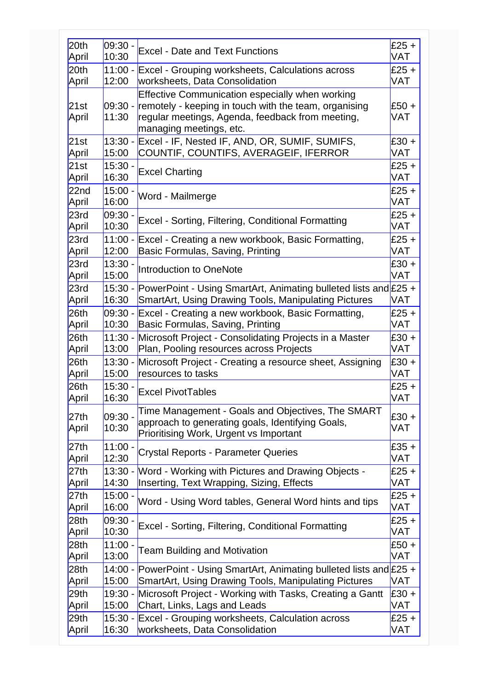| 20th             | 09:30            | <b>Excel - Date and Text Functions</b>                                                                                                                                                  | $£25 +$               |
|------------------|------------------|-----------------------------------------------------------------------------------------------------------------------------------------------------------------------------------------|-----------------------|
| April            | 10:30            |                                                                                                                                                                                         | <b>VAT</b>            |
| 20th             |                  | 11:00 - Excel - Grouping worksheets, Calculations across                                                                                                                                | $E25 +$               |
| April            | 12:00            | worksheets, Data Consolidation                                                                                                                                                          | <b>VAT</b>            |
| 21st<br>April    | 09:30 -<br>11:30 | Effective Communication especially when working<br>remotely - keeping in touch with the team, organising<br>regular meetings, Agenda, feedback from meeting,<br>managing meetings, etc. | $£50 +$<br><b>VAT</b> |
| 21st             | $13:30 -$        | Excel - IF, Nested IF, AND, OR, SUMIF, SUMIFS,                                                                                                                                          | $£30 +$               |
| April            | 15:00            | COUNTIF, COUNTIFS, AVERAGEIF, IFERROR                                                                                                                                                   | <b>VAT</b>            |
| 21st             | $15:30 -$        | <b>Excel Charting</b>                                                                                                                                                                   | $£25 +$               |
| April            | 16:30            |                                                                                                                                                                                         | <b>VAT</b>            |
| 22 <sub>nd</sub> | $15:00 -$        | Word - Mailmerge                                                                                                                                                                        | $£25 +$               |
| April            | 16:00            |                                                                                                                                                                                         | <b>VAT</b>            |
| 23rd             | $09:30 -$        | Excel - Sorting, Filtering, Conditional Formatting                                                                                                                                      | $£25 +$               |
| April            | 10:30            |                                                                                                                                                                                         | <b>VAT</b>            |
| 23rd             | $11:00 -$        | Excel - Creating a new workbook, Basic Formatting,                                                                                                                                      | $£25 +$               |
| April            | 12:00            | Basic Formulas, Saving, Printing                                                                                                                                                        | <b>VAT</b>            |
| 23rd             | $13:30 -$        | Introduction to OneNote                                                                                                                                                                 | $£30 +$               |
| April            | 15:00            |                                                                                                                                                                                         | <b>VAT</b>            |
| 23rd             | 15:30 -          | PowerPoint - Using SmartArt, Animating bulleted lists and £25 +                                                                                                                         | <b>VAT</b>            |
| April            | 16:30            | <b>SmartArt, Using Drawing Tools, Manipulating Pictures</b>                                                                                                                             |                       |
| 26th             | $09:30 -$        | Excel - Creating a new workbook, Basic Formatting,                                                                                                                                      | $£25 +$               |
| April            | 10:30            | Basic Formulas, Saving, Printing                                                                                                                                                        | <b>VAT</b>            |
| 26 <sub>th</sub> | $11:30 -$        | Microsoft Project - Consolidating Projects in a Master                                                                                                                                  | $£30 +$               |
| April            | 13:00            | Plan, Pooling resources across Projects                                                                                                                                                 | <b>VAT</b>            |
| 26 <sub>th</sub> | $13:30 -$        | Microsoft Project - Creating a resource sheet, Assigning                                                                                                                                | $£30 +$               |
| April            | 15:00            | resources to tasks                                                                                                                                                                      | <b>VAT</b>            |
| 26th             | $15:30 -$        | <b>Excel PivotTables</b>                                                                                                                                                                | $£25 +$               |
| April            | 16:30            |                                                                                                                                                                                         | <b>VAT</b>            |
| 27th<br>April    | 09:30 -<br>10:30 | Time Management - Goals and Objectives, The SMART<br>approach to generating goals, Identifying Goals,<br>Prioritising Work, Urgent vs Important                                         | $£30 +$<br>VAT        |
| 27th             | $11:00 -$        | <b>Crystal Reports - Parameter Queries</b>                                                                                                                                              | $£35 +$               |
| April            | 12:30            |                                                                                                                                                                                         | VAT                   |
| 27th             | $13:30 -$        | Word - Working with Pictures and Drawing Objects -                                                                                                                                      | $£25 +$               |
| April            | 14:30            | Inserting, Text Wrapping, Sizing, Effects                                                                                                                                               | <b>VAT</b>            |
| 27th             | $15:00 -$        | Word - Using Word tables, General Word hints and tips                                                                                                                                   | $£25 +$               |
| April            | 16:00            |                                                                                                                                                                                         | <b>VAT</b>            |
| 28 <sub>th</sub> | 09:30            | Excel - Sorting, Filtering, Conditional Formatting                                                                                                                                      | $£25 +$               |
| April            | 10:30            |                                                                                                                                                                                         | <b>VAT</b>            |
| 28 <sub>th</sub> | $11:00 -$        | <b>Team Building and Motivation</b>                                                                                                                                                     | $£50 +$               |
| April            | 13:00            |                                                                                                                                                                                         | <b>VAT</b>            |
| 28 <sub>th</sub> | $14:00 -$        | PowerPoint - Using SmartArt, Animating bulleted lists and £25 +                                                                                                                         | <b>VAT</b>            |
| April            | 15:00            | SmartArt, Using Drawing Tools, Manipulating Pictures                                                                                                                                    |                       |
| 29th             | 19:30 -          | Microsoft Project - Working with Tasks, Creating a Gantt                                                                                                                                | £30 +                 |
| April            | 15:00            | Chart, Links, Lags and Leads                                                                                                                                                            | <b>VAT</b>            |
| 29th             | 15:30 -          | Excel - Grouping worksheets, Calculation across                                                                                                                                         | $£25 +$               |